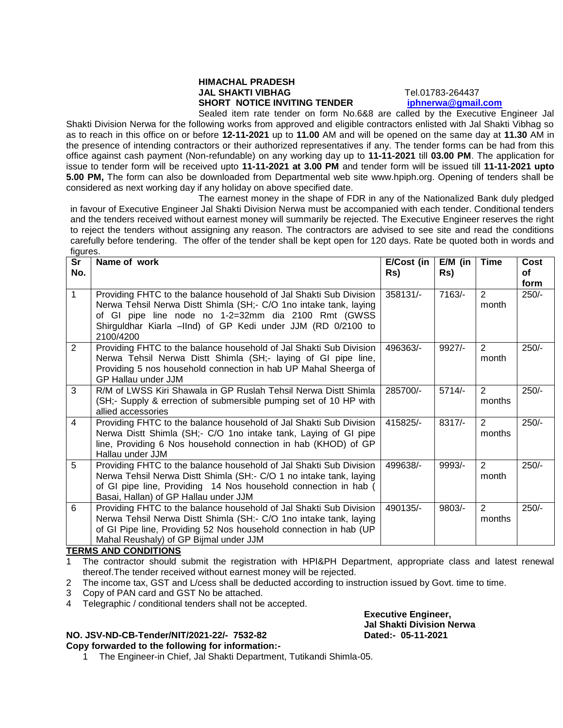## **HIMACHAL PRADESH JAL SHAKTI VIBHAG** Tel.01783-264437 **SHORT NOTICE INVITING TENDER [iphnerwa@gmail.com](mailto:iphnerwa@gmail.com)**

Sealed item rate tender on form No.6&8 are called by the Executive Engineer Jal Shakti Division Nerwa for the following works from approved and eligible contractors enlisted with Jal Shakti Vibhag so as to reach in this office on or before **12-11-2021** up to **11.00** AM and will be opened on the same day at **11.30** AM in the presence of intending contractors or their authorized representatives if any. The tender forms can be had from this office against cash payment (Non-refundable) on any working day up to **11-11-2021** till **03.00 PM**. The application for issue to tender form will be received upto **11-11-2021 at 3.00 PM** and tender form will be issued till **11-11-2021 upto 5.00 PM,** The form can also be downloaded from Departmental web site www.hpiph.org. Opening of tenders shall be considered as next working day if any holiday on above specified date.

The earnest money in the shape of FDR in any of the Nationalized Bank duly pledged in favour of Executive Engineer Jal Shakti Division Nerwa must be accompanied with each tender. Conditional tenders and the tenders received without earnest money will summarily be rejected. The Executive Engineer reserves the right to reject the tenders without assigning any reason. The contractors are advised to see site and read the conditions carefully before tendering. The offer of the tender shall be kept open for 120 days. Rate be quoted both in words and figures.

| Sr<br>No.      | Name of work                                                                                                                                                                                                                                                                | E/Cost (in<br>Rs) | $E/M$ (in<br>Rs) | <b>Time</b>             | Cost<br>οf<br>form |
|----------------|-----------------------------------------------------------------------------------------------------------------------------------------------------------------------------------------------------------------------------------------------------------------------------|-------------------|------------------|-------------------------|--------------------|
| $\mathbf 1$    | Providing FHTC to the balance household of Jal Shakti Sub Division<br>Nerwa Tehsil Nerwa Distt Shimla (SH;- C/O 1no intake tank, laying<br>of GI pipe line node no 1-2=32mm dia 2100 Rmt (GWSS<br>Shirguldhar Kiarla -IInd) of GP Kedi under JJM (RD 0/2100 to<br>2100/4200 | 358131/-          | $7163/-$         | 2<br>month              | $250/-$            |
| 2              | Providing FHTC to the balance household of Jal Shakti Sub Division<br>Nerwa Tehsil Nerwa Distt Shimla (SH; laying of GI pipe line,<br>Providing 5 nos household connection in hab UP Mahal Sheerga of<br><b>GP Hallau under JJM</b>                                         | 496363/-          | $9927/-$         | 2<br>month              | $250/-$            |
| 3              | R/M of LWSS Kiri Shawala in GP Ruslah Tehsil Nerwa Distt Shimla<br>(SH;- Supply & errection of submersible pumping set of 10 HP with<br>allied accessories                                                                                                                  | 285700/-          | $5714/-$         | 2<br>months             | $250/-$            |
| $\overline{4}$ | Providing FHTC to the balance household of Jal Shakti Sub Division<br>Nerwa Distt Shimla (SH; - C/O 1no intake tank, Laying of GI pipe<br>line, Providing 6 Nos household connection in hab (KHOD) of GP<br>Hallau under JJM                                                | 415825/-          | $8317/-$         | 2<br>months             | $250/-$            |
| 5              | Providing FHTC to the balance household of Jal Shakti Sub Division<br>Nerwa Tehsil Nerwa Distt Shimla (SH:- C/O 1 no intake tank, laying<br>of GI pipe line, Providing 14 Nos household connection in hab (<br>Basai, Hallan) of GP Hallau under JJM                        | 499638/-          | $9993/-$         | $\overline{2}$<br>month | $250/-$            |
| 6              | Providing FHTC to the balance household of Jal Shakti Sub Division<br>Nerwa Tehsil Nerwa Distt Shimla (SH:- C/O 1no intake tank, laying<br>of GI Pipe line, Providing 52 Nos household connection in hab (UP<br>Mahal Reushaly) of GP Bijmal under JJM<br>IB AALIBIRIALIA   | 490135/-          | $9803/-$         | 2<br>months             | $250/-$            |

## **TERMS AND CONDITIONS**

1 The contractor should submit the registration with HPI&PH Department, appropriate class and latest renewal thereof.The tender received without earnest money will be rejected.

- 2 The income tax, GST and L/cess shall be deducted according to instruction issued by Govt. time to time.
- 3 Copy of PAN card and GST No be attached.
- 4 Telegraphic / conditional tenders shall not be accepted.

## **NO. JSV-ND-CB-Tender/NIT/2021-22/- 7532-82 Dated:- 05-11-2021**

**Copy forwarded to the following for information:-**

1 The Engineer-in Chief, Jal Shakti Department, Tutikandi Shimla-05.

**Executive Engineer, Jal Shakti Division Nerwa**